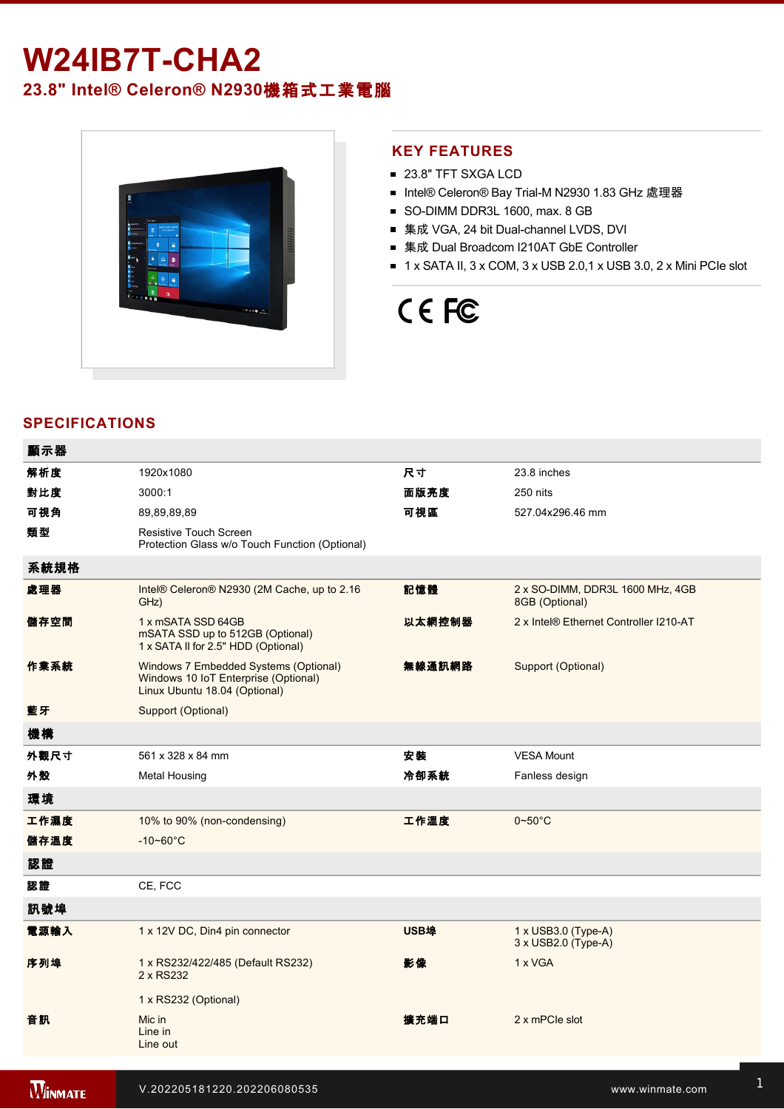# **W24IB7T-CHA2**

# **23.8" Intel® Celeron® N2930**機箱式工業電腦



### **KEY FEATURES**

- 23.8" TFT SXGA LCD
- Intel® Celeron® Bay Trial-M N2930 1.83 GHz 處理器
- SO-DIMM DDR3L 1600, max. 8 GB
- 集成 VGA, 24 bit Dual-channel LVDS, DVI
- 集成 Dual Broadcom I210AT GbE Controller
- $\blacksquare$  1 x SATA II, 3 x COM, 3 x USB 2.0,1 x USB 3.0, 2 x Mini PCIe slot

# CE FC

# **SPECIFICATIONS**

| 顯示器  |                                                                                                                |        |                                                    |
|------|----------------------------------------------------------------------------------------------------------------|--------|----------------------------------------------------|
| 解析度  | 1920x1080                                                                                                      | 尺寸     | 23.8 inches                                        |
| 對比度  | 3000:1                                                                                                         | 面版亮度   | 250 nits                                           |
| 可視角  | 89.89.89.89                                                                                                    | 可視區    | 527.04x296.46 mm                                   |
| 類型   | Resistive Touch Screen<br>Protection Glass w/o Touch Function (Optional)                                       |        |                                                    |
| 系統規格 |                                                                                                                |        |                                                    |
| 處理器  | Intel® Celeron® N2930 (2M Cache, up to 2.16<br>GHz)                                                            | 記憶體    | 2 x SO-DIMM, DDR3L 1600 MHz, 4GB<br>8GB (Optional) |
| 儲存空間 | 1 x mSATA SSD 64GB<br>mSATA SSD up to 512GB (Optional)<br>1 x SATA II for 2.5" HDD (Optional)                  | 以太網控制器 | 2 x Intel® Ethernet Controller I210-AT             |
| 作業系統 | Windows 7 Embedded Systems (Optional)<br>Windows 10 IoT Enterprise (Optional)<br>Linux Ubuntu 18.04 (Optional) | 無線通訊網路 | Support (Optional)                                 |
| 藍牙   | Support (Optional)                                                                                             |        |                                                    |
| 機構   |                                                                                                                |        |                                                    |
| 外觀尺寸 | 561 x 328 x 84 mm                                                                                              | 安裝     | <b>VESA Mount</b>                                  |
| 外殼   | <b>Metal Housing</b>                                                                                           | 冷卻系統   | Fanless design                                     |
| 環境   |                                                                                                                |        |                                                    |
| 工作濕度 | 10% to 90% (non-condensing)                                                                                    | 工作溫度   | $0 - 50$ °C                                        |
| 儲存溫度 | $-10 - 60^{\circ}C$                                                                                            |        |                                                    |
| 認證   |                                                                                                                |        |                                                    |
| 認證   | CE, FCC                                                                                                        |        |                                                    |
| 訊號埠  |                                                                                                                |        |                                                    |
| 電源輸入 | 1 x 12V DC, Din4 pin connector                                                                                 | USB埠   | $1 \times$ USB3.0 (Type-A)<br>3 x USB2.0 (Type-A)  |
| 序列埠  | 1 x RS232/422/485 (Default RS232)<br>2 x RS232                                                                 | 影像     | 1 x VGA                                            |
|      | 1 x RS232 (Optional)                                                                                           |        |                                                    |
| 音訊   | Mic in<br>Line in<br>Line out                                                                                  | 擴充端口   | 2 x mPCle slot                                     |
|      |                                                                                                                |        |                                                    |